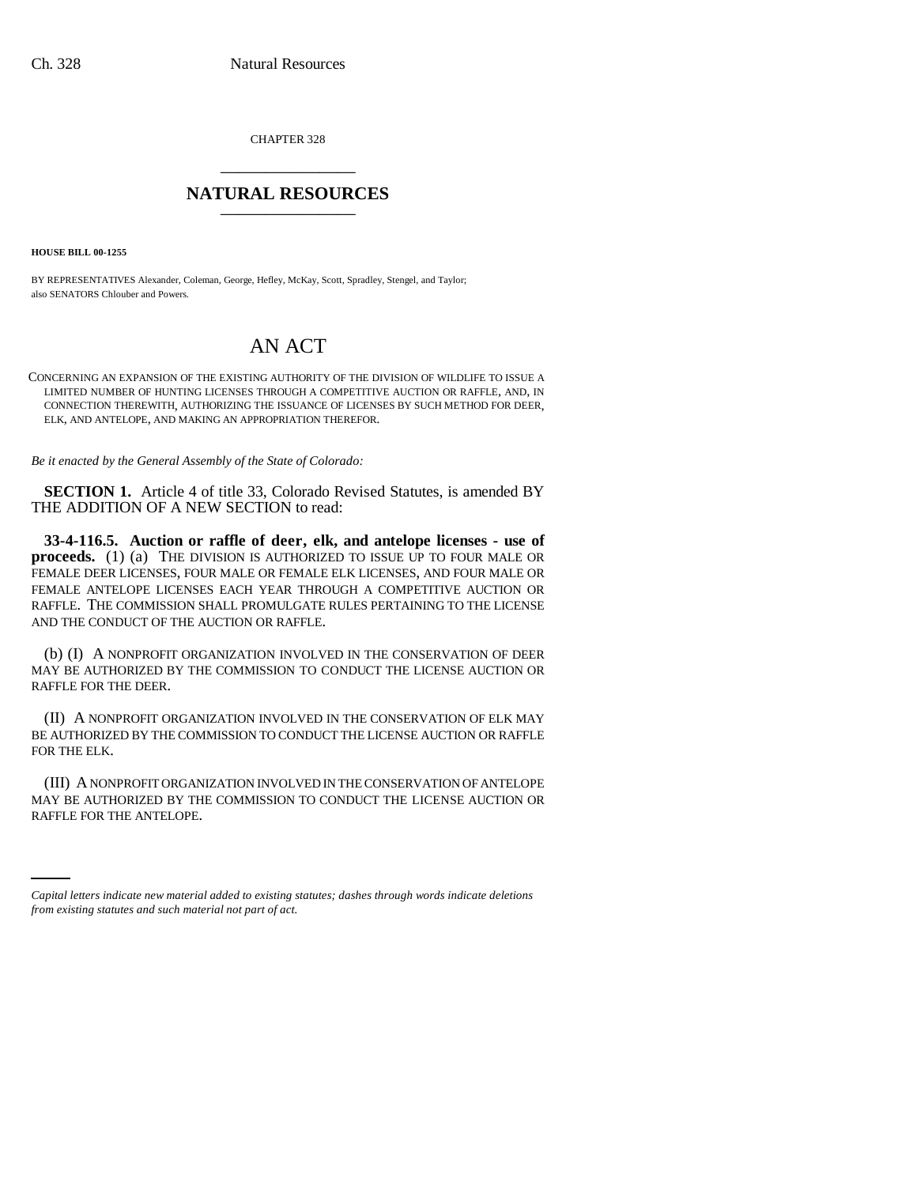CHAPTER 328 \_\_\_\_\_\_\_\_\_\_\_\_\_\_\_

## **NATURAL RESOURCES** \_\_\_\_\_\_\_\_\_\_\_\_\_\_\_

**HOUSE BILL 00-1255** 

BY REPRESENTATIVES Alexander, Coleman, George, Hefley, McKay, Scott, Spradley, Stengel, and Taylor; also SENATORS Chlouber and Powers.

## AN ACT

CONCERNING AN EXPANSION OF THE EXISTING AUTHORITY OF THE DIVISION OF WILDLIFE TO ISSUE A LIMITED NUMBER OF HUNTING LICENSES THROUGH A COMPETITIVE AUCTION OR RAFFLE, AND, IN CONNECTION THEREWITH, AUTHORIZING THE ISSUANCE OF LICENSES BY SUCH METHOD FOR DEER, ELK, AND ANTELOPE, AND MAKING AN APPROPRIATION THEREFOR.

*Be it enacted by the General Assembly of the State of Colorado:*

**SECTION 1.** Article 4 of title 33, Colorado Revised Statutes, is amended BY THE ADDITION OF A NEW SECTION to read:

**33-4-116.5. Auction or raffle of deer, elk, and antelope licenses - use of proceeds.** (1) (a) THE DIVISION IS AUTHORIZED TO ISSUE UP TO FOUR MALE OR FEMALE DEER LICENSES, FOUR MALE OR FEMALE ELK LICENSES, AND FOUR MALE OR FEMALE ANTELOPE LICENSES EACH YEAR THROUGH A COMPETITIVE AUCTION OR RAFFLE. THE COMMISSION SHALL PROMULGATE RULES PERTAINING TO THE LICENSE AND THE CONDUCT OF THE AUCTION OR RAFFLE.

(b) (I) A NONPROFIT ORGANIZATION INVOLVED IN THE CONSERVATION OF DEER MAY BE AUTHORIZED BY THE COMMISSION TO CONDUCT THE LICENSE AUCTION OR RAFFLE FOR THE DEER.

(II) A NONPROFIT ORGANIZATION INVOLVED IN THE CONSERVATION OF ELK MAY BE AUTHORIZED BY THE COMMISSION TO CONDUCT THE LICENSE AUCTION OR RAFFLE FOR THE ELK.

MAY BE AUTHORIZED BY THE COMMISSION TO CONDUCT THE LICENSE AUCTION OR (III) A NONPROFIT ORGANIZATION INVOLVED IN THE CONSERVATION OF ANTELOPE RAFFLE FOR THE ANTELOPE.

*Capital letters indicate new material added to existing statutes; dashes through words indicate deletions from existing statutes and such material not part of act.*